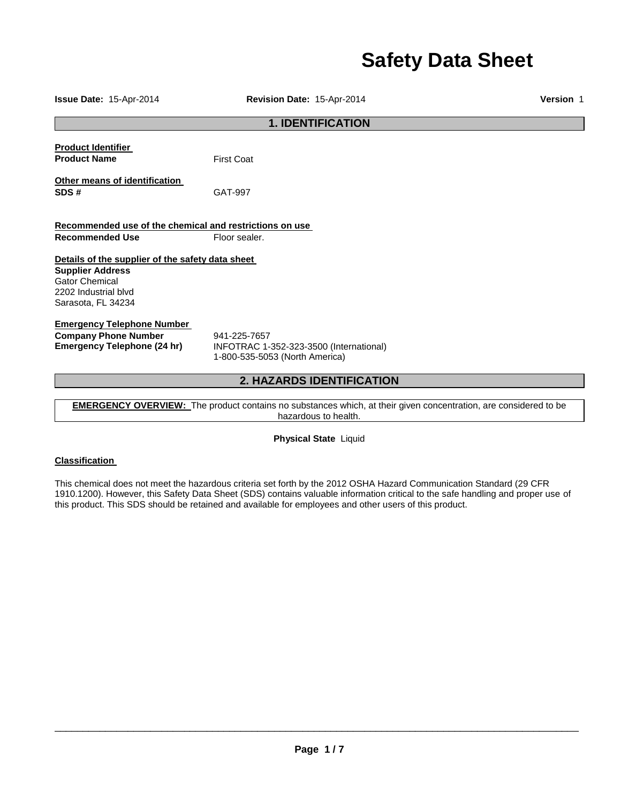# **Safety Data Sheet**

**Issue Date:** 15-Apr-2014 **Revision Date:** 15-Apr-2014 **Version** 1 **1. IDENTIFICATION Product Identifier Product Name First Coat Other means of identification SDS #** GAT-997 **Recommended use of the chemical and restrictions on use Recommended Use Floor sealer. Details of the supplier of the safety data sheet Supplier Address** Gator Chemical 2202 Industrial blvd Sarasota, FL 34234 **Emergency Telephone Number Company Phone Number** 941-225-7657<br>**Emergency Telephone (24 hr)** INFOTRAC 1-**Emergency Telephone (24 hr)** INFOTRAC 1-352-323-3500 (International) 1-800-535-5053 (North America) **2. HAZARDS IDENTIFICATION** 

**EMERGENCY OVERVIEW:** The product contains no substances which, at their given concentration, are considered to be hazardous to health.

**Physical State** Liquid

# **Classification**

This chemical does not meet the hazardous criteria set forth by the 2012 OSHA Hazard Communication Standard (29 CFR 1910.1200). However, this Safety Data Sheet (SDS) contains valuable information critical to the safe handling and proper use of this product. This SDS should be retained and available for employees and other users of this product.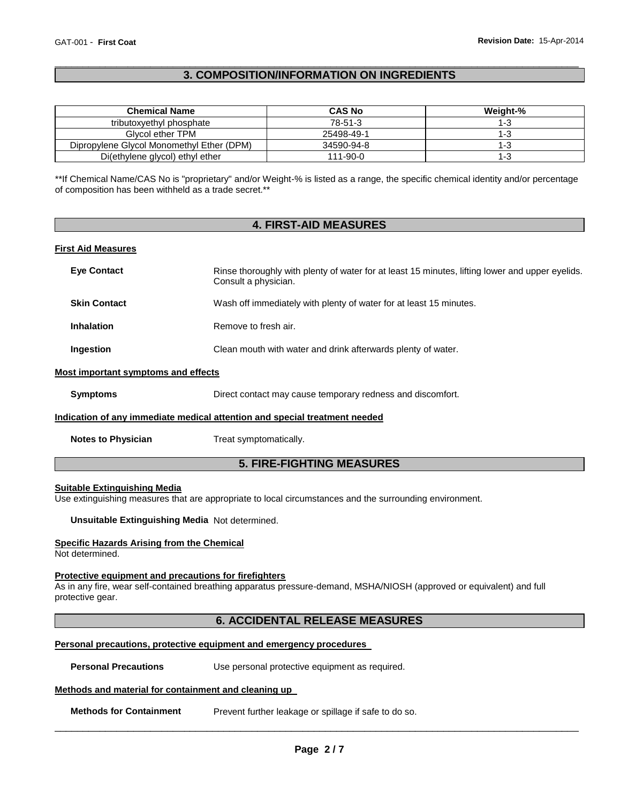# \_\_\_\_\_\_\_\_\_\_\_\_\_\_\_\_\_\_\_\_\_\_\_\_\_\_\_\_\_\_\_\_\_\_\_\_\_\_\_\_\_\_\_\_\_\_\_\_\_\_\_\_\_\_\_\_\_\_\_\_\_\_\_\_\_\_\_\_\_\_\_\_\_\_\_\_\_\_\_\_\_\_\_\_\_\_\_\_\_\_\_\_\_ **3. COMPOSITION/INFORMATION ON INGREDIENTS**

| <b>Chemical Name</b>                      | <b>CAS No</b> | Weight-% |
|-------------------------------------------|---------------|----------|
| tributoxyethyl phosphate                  | 78-51-3       | 1-3      |
| Glycol ether TPM                          | 25498-49-1    | 1-3      |
| Dipropylene Glycol Monomethyl Ether (DPM) | 34590-94-8    | I - 1    |
| Di(ethylene glycol) ethyl ether           | 111-90-0      | I-3      |

\*\*If Chemical Name/CAS No is "proprietary" and/or Weight-% is listed as a range, the specific chemical identity and/or percentage of composition has been withheld as a trade secret.\*\*

# **4. FIRST-AID MEASURES**

#### **First Aid Measures**

| <b>Eye Contact</b>  | Rinse thoroughly with plenty of water for at least 15 minutes, lifting lower and upper eyelids.<br>Consult a physician. |
|---------------------|-------------------------------------------------------------------------------------------------------------------------|
| <b>Skin Contact</b> | Wash off immediately with plenty of water for at least 15 minutes.                                                      |
| <b>Inhalation</b>   | Remove to fresh air.                                                                                                    |
| Ingestion           | Clean mouth with water and drink afterwards plenty of water.                                                            |

#### **Most important symptoms and effects**

| Symptoms | Direct contact may cause temporary redness and discomfort. |
|----------|------------------------------------------------------------|
|          |                                                            |

#### **Indication of any immediate medical attention and special treatment needed**

**Notes to Physician Treat symptomatically.** 

# **5. FIRE-FIGHTING MEASURES**

# **Suitable Extinguishing Media**

Use extinguishing measures that are appropriate to local circumstances and the surrounding environment.

**Unsuitable Extinguishing Media** Not determined.

#### **Specific Hazards Arising from the Chemical**

Not determined.

#### **Protective equipment and precautions for firefighters**

As in any fire, wear self-contained breathing apparatus pressure-demand, MSHA/NIOSH (approved or equivalent) and full protective gear.

# **6. ACCIDENTAL RELEASE MEASURES**

#### **Personal precautions, protective equipment and emergency procedures**

**Personal Precautions Use personal protective equipment as required.** 

### **Methods and material for containment and cleaning up**

**Methods for Containment** Prevent further leakage or spillage if safe to do so.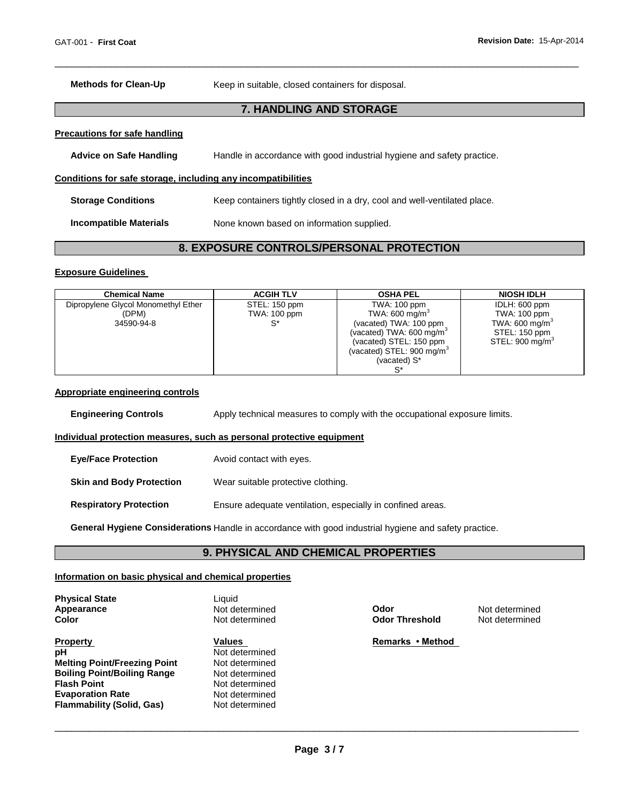**Methods for Clean-Up Keep in suitable, closed containers for disposal.** 

# **7. HANDLING AND STORAGE**

\_\_\_\_\_\_\_\_\_\_\_\_\_\_\_\_\_\_\_\_\_\_\_\_\_\_\_\_\_\_\_\_\_\_\_\_\_\_\_\_\_\_\_\_\_\_\_\_\_\_\_\_\_\_\_\_\_\_\_\_\_\_\_\_\_\_\_\_\_\_\_\_\_\_\_\_\_\_\_\_\_\_\_\_\_\_\_\_\_\_\_\_\_

#### **Precautions for safe handling**

**Advice on Safe Handling** Handle in accordance with good industrial hygiene and safety practice. **Conditions for safe storage, including any incompatibilities Storage Conditions Keep containers tightly closed in a dry, cool and well-ventilated place.** 

**Incompatible Materials** None known based on information supplied.

# **8. EXPOSURE CONTROLS/PERSONAL PROTECTION**

#### **Exposure Guidelines**

| <b>Chemical Name</b>                | <b>ACGIH TLV</b>    | <b>OSHA PEL</b>                      | <b>NIOSH IDLH</b>           |
|-------------------------------------|---------------------|--------------------------------------|-----------------------------|
| Dipropylene Glycol Monomethyl Ether | STEL: 150 ppm       | <b>TWA: 100 ppm</b>                  | IDLH: 600 ppm               |
| (DPM)                               | <b>TWA: 100 ppm</b> | TWA: 600 mg/m <sup>3</sup>           | TWA: 100 ppm                |
| 34590-94-8                          | $^{\circ}$          | (vacated) TWA: 100 ppm               | TWA: 600 mg/m <sup>3</sup>  |
|                                     |                     | (vacated) TWA: 600 mg/m <sup>3</sup> | STEL: 150 ppm               |
|                                     |                     | (vacated) STEL: 150 ppm              | STEL: 900 mg/m <sup>3</sup> |
|                                     |                     | (vacated) STEL: $900 \text{ mg/m}^3$ |                             |
|                                     |                     | (vacated) S*                         |                             |
|                                     |                     |                                      |                             |

### **Appropriate engineering controls**

| <b>Engineering Controls</b>     | Apply technical measures to comply with the occupational exposure limits. |
|---------------------------------|---------------------------------------------------------------------------|
|                                 | Individual protection measures, such as personal protective equipment     |
| <b>Eve/Face Protection</b>      | Avoid contact with eyes.                                                  |
| <b>Skin and Body Protection</b> | Wear suitable protective clothing.                                        |
| <b>Respiratory Protection</b>   | Ensure adequate ventilation, especially in confined areas.                |

**General Hygiene Considerations** Handle in accordance with good industrial hygiene and safety practice.

# **9. PHYSICAL AND CHEMICAL PROPERTIES**

#### **Information on basic physical and chemical properties**

| <b>Physical State</b><br>Appearance<br>Color                                                                                                                                            | Liauid<br>Not determined<br>Not determined                                                                         | Odor<br><b>Odor Threshold</b> | Not determined<br>Not determined |
|-----------------------------------------------------------------------------------------------------------------------------------------------------------------------------------------|--------------------------------------------------------------------------------------------------------------------|-------------------------------|----------------------------------|
| <b>Property</b><br>pH<br><b>Melting Point/Freezing Point</b><br><b>Boiling Point/Boiling Range</b><br><b>Flash Point</b><br><b>Evaporation Rate</b><br><b>Flammability (Solid, Gas)</b> | Values<br>Not determined<br>Not determined<br>Not determined<br>Not determined<br>Not determined<br>Not determined | Remarks • Method              |                                  |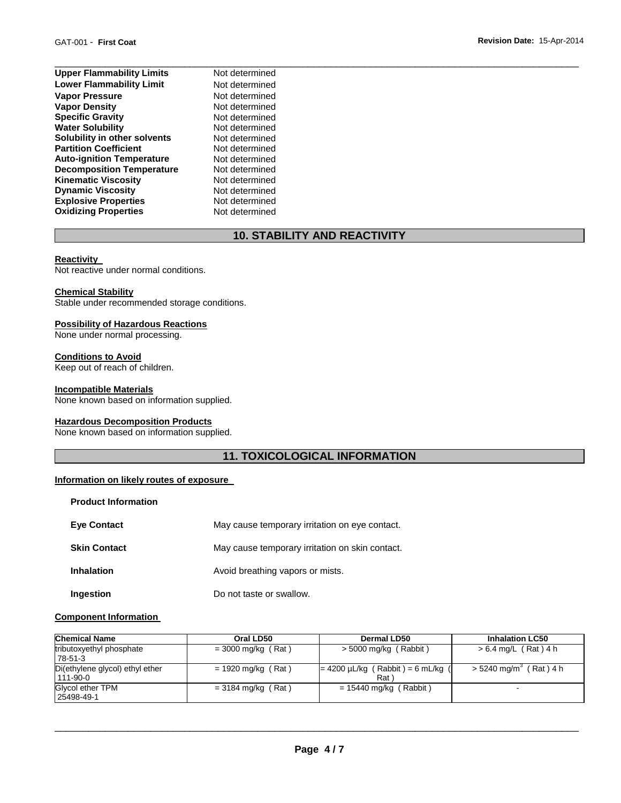| <b>Upper Flammability Limits</b> | Not determined |  |
|----------------------------------|----------------|--|
| <b>Lower Flammability Limit</b>  | Not determined |  |
| <b>Vapor Pressure</b>            | Not determined |  |
| <b>Vapor Density</b>             | Not determined |  |
| <b>Specific Gravity</b>          | Not determined |  |
| <b>Water Solubility</b>          | Not determined |  |
| Solubility in other solvents     | Not determined |  |
| <b>Partition Coefficient</b>     | Not determined |  |
| <b>Auto-ignition Temperature</b> | Not determined |  |
| <b>Decomposition Temperature</b> | Not determined |  |
| <b>Kinematic Viscosity</b>       | Not determined |  |
| <b>Dynamic Viscosity</b>         | Not determined |  |
| <b>Explosive Properties</b>      | Not determined |  |
| <b>Oxidizing Properties</b>      | Not determined |  |

# **10. STABILITY AND REACTIVITY**

#### **Reactivity**

Not reactive under normal conditions.

#### **Chemical Stability**

Stable under recommended storage conditions.

# **Possibility of Hazardous Reactions**

None under normal processing.

# **Conditions to Avoid**

Keep out of reach of children.

# **Incompatible Materials**

None known based on information supplied.

#### **Hazardous Decomposition Products**

None known based on information supplied.

# **11. TOXICOLOGICAL INFORMATION**

# **Information on likely routes of exposure**

| <b>Product Information</b> |                                                 |
|----------------------------|-------------------------------------------------|
| <b>Eve Contact</b>         | May cause temporary irritation on eye contact.  |
| <b>Skin Contact</b>        | May cause temporary irritation on skin contact. |
| <b>Inhalation</b>          | Avoid breathing vapors or mists.                |
| Ingestion                  | Do not taste or swallow.                        |

# **Component Information**

| <b>Chemical Name</b>                        | Oral LD50            | <b>Dermal LD50</b>                            | <b>Inhalation LC50</b>               |
|---------------------------------------------|----------------------|-----------------------------------------------|--------------------------------------|
| tributoxyethyl phosphate<br>78-51-3         | $= 3000$ mg/kg (Rat) | $>$ 5000 mg/kg (Rabbit)                       | > 6.4 mg/L (Rat) 4 h                 |
| Di(ethylene glycol) ethyl ether<br>111-90-0 | $= 1920$ mg/kg (Rat) | $= 4200 \mu L/kg$ (Rabbit) = 6 mL/kg (<br>Rat | $>$ 5240 mg/m <sup>3</sup> (Rat) 4 h |
| Glycol ether TPM<br>25498-49-1              | $= 3184$ mg/kg (Rat) | $= 15440$ mg/kg (Rabbit)                      | -                                    |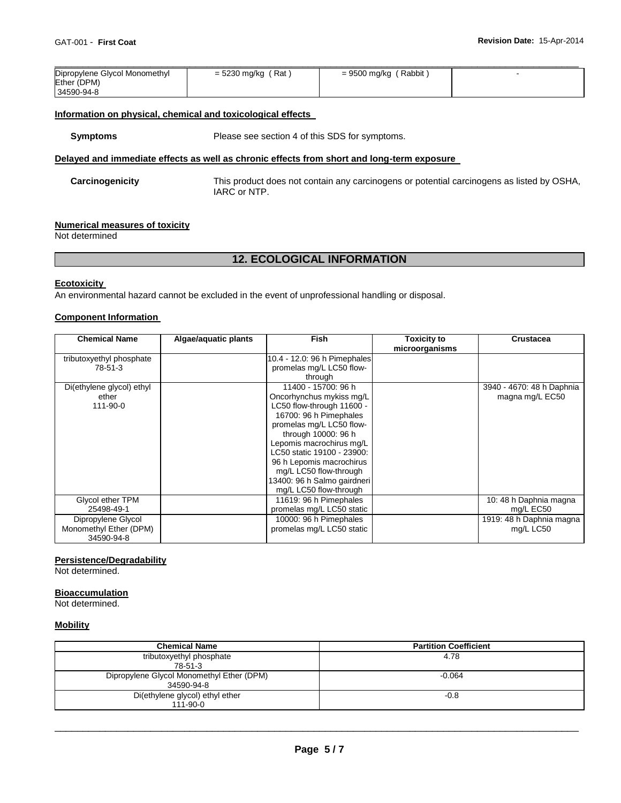| Dipropylene Glycol Monomethyl | = 5230 mg/kg (Rat) | ' Rabbit ,<br>= 9500 mg/kg |  |
|-------------------------------|--------------------|----------------------------|--|
| Ether (DPM)                   |                    |                            |  |
| 34590-94-8                    |                    |                            |  |

#### **Information on physical, chemical and toxicological effects**

**Symptoms** Please see section 4 of this SDS for symptoms.

### **Delayed and immediate effects as well as chronic effects from short and long-term exposure**

**Carcinogenicity** This product does not contain any carcinogens or potential carcinogens as listed by OSHA, IARC or NTP.

#### **Numerical measures of toxicity**

Not determined

# **12. ECOLOGICAL INFORMATION**

#### **Ecotoxicity**

An environmental hazard cannot be excluded in the event of unprofessional handling or disposal.

# **Component Information**

| <b>Chemical Name</b>      | Algae/aquatic plants | <b>Fish</b>                  | <b>Toxicity to</b><br>microorganisms | Crustacea                 |
|---------------------------|----------------------|------------------------------|--------------------------------------|---------------------------|
| tributoxyethyl phosphate  |                      | 10.4 - 12.0: 96 h Pimephales |                                      |                           |
| 78-51-3                   |                      | promelas mg/L LC50 flow-     |                                      |                           |
|                           |                      | through                      |                                      |                           |
| Di(ethylene glycol) ethyl |                      | 11400 - 15700: 96 h          |                                      | 3940 - 4670: 48 h Daphnia |
| ether                     |                      | Oncorhynchus mykiss mg/L     |                                      | magna mg/L EC50           |
| $111 - 90 - 0$            |                      | LC50 flow-through 11600 -    |                                      |                           |
|                           |                      | 16700: 96 h Pimephales       |                                      |                           |
|                           |                      | promelas mg/L LC50 flow-     |                                      |                           |
|                           |                      | through 10000: 96 h          |                                      |                           |
|                           |                      | Lepomis macrochirus mg/L     |                                      |                           |
|                           |                      | LC50 static 19100 - 23900:   |                                      |                           |
|                           |                      | 96 h Lepomis macrochirus     |                                      |                           |
|                           |                      | mg/L LC50 flow-through       |                                      |                           |
|                           |                      | 13400: 96 h Salmo gairdneri  |                                      |                           |
|                           |                      | mg/L LC50 flow-through       |                                      |                           |
| Glycol ether TPM          |                      | 11619: 96 h Pimephales       |                                      | 10: 48 h Daphnia magna    |
| 25498-49-1                |                      | promelas mg/L LC50 static    |                                      | mg/L EC50                 |
| Dipropylene Glycol        |                      | 10000: 96 h Pimephales       |                                      | 1919: 48 h Daphnia magna  |
| Monomethyl Ether (DPM)    |                      | promelas mg/L LC50 static    |                                      | mg/L LC50                 |
| 34590-94-8                |                      |                              |                                      |                           |

# **Persistence/Degradability**

Not determined.

# **Bioaccumulation**

Not determined.

# **Mobility**

| <b>Chemical Name</b>                                    | <b>Partition Coefficient</b> |
|---------------------------------------------------------|------------------------------|
| tributoxyethyl phosphate<br>78-51-3                     | 4.78                         |
| Dipropylene Glycol Monomethyl Ether (DPM)<br>34590-94-8 | $-0.064$                     |
| Di(ethylene glycol) ethyl ether<br>111-90-0             | $-0.8$                       |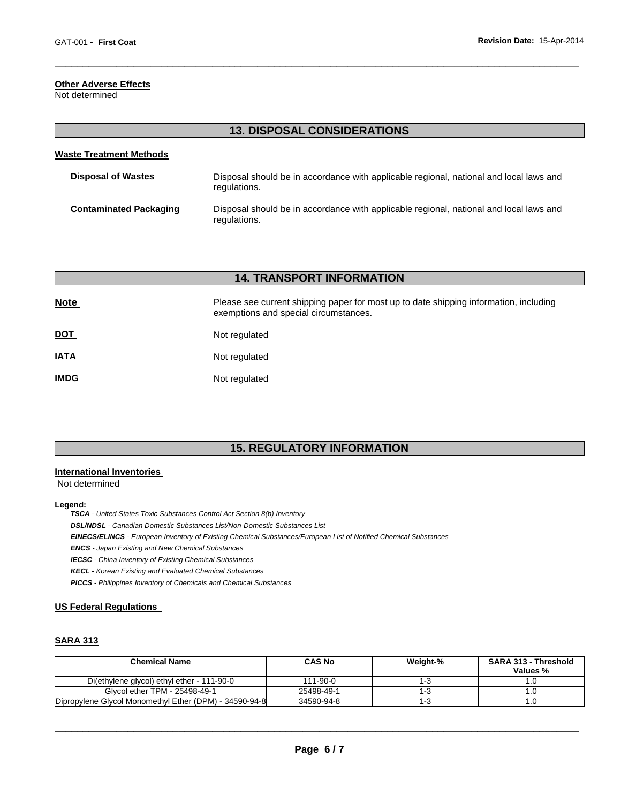# **Other Adverse Effects**

Not determined

| <b>13. DISPOSAL CONSIDERATIONS</b> |                                                                                                        |  |  |  |  |
|------------------------------------|--------------------------------------------------------------------------------------------------------|--|--|--|--|
| <b>Waste Treatment Methods</b>     |                                                                                                        |  |  |  |  |
| <b>Disposal of Wastes</b>          | Disposal should be in accordance with applicable regional, national and local laws and<br>regulations. |  |  |  |  |
| <b>Contaminated Packaging</b>      | Disposal should be in accordance with applicable regional, national and local laws and<br>regulations. |  |  |  |  |

\_\_\_\_\_\_\_\_\_\_\_\_\_\_\_\_\_\_\_\_\_\_\_\_\_\_\_\_\_\_\_\_\_\_\_\_\_\_\_\_\_\_\_\_\_\_\_\_\_\_\_\_\_\_\_\_\_\_\_\_\_\_\_\_\_\_\_\_\_\_\_\_\_\_\_\_\_\_\_\_\_\_\_\_\_\_\_\_\_\_\_\_\_

# **14. TRANSPORT INFORMATION**

| <b>Note</b> | Please see current shipping paper for most up to date shipping information, including<br>exemptions and special circumstances. |
|-------------|--------------------------------------------------------------------------------------------------------------------------------|
| <u>DOT</u>  | Not regulated                                                                                                                  |
| <b>IATA</b> | Not regulated                                                                                                                  |
| <b>IMDG</b> | Not regulated                                                                                                                  |

# **15. REGULATORY INFORMATION**

# **International Inventories**

Not determined

#### **Legend:**

*TSCA - United States Toxic Substances Control Act Section 8(b) Inventory* 

*DSL/NDSL - Canadian Domestic Substances List/Non-Domestic Substances List* 

*EINECS/ELINCS - European Inventory of Existing Chemical Substances/European List of Notified Chemical Substances* 

*ENCS - Japan Existing and New Chemical Substances* 

*IECSC - China Inventory of Existing Chemical Substances* 

*KECL - Korean Existing and Evaluated Chemical Substances* 

*PICCS - Philippines Inventory of Chemicals and Chemical Substances* 

#### **US Federal Regulations**

# **SARA 313**

| <b>Chemical Name</b>                                   | <b>CAS No</b>  | Weight-% | <b>SARA 313 - Threshold</b><br>Values % |
|--------------------------------------------------------|----------------|----------|-----------------------------------------|
| Di(ethylene glycol) ethyl ether - 111-90-0             | $111 - 90 - 0$ | ن- ا     |                                         |
| Glycol ether TPM - 25498-49-1                          | 25498-49-1     | 150      |                                         |
| Dipropylene Glycol Monomethyl Ether (DPM) - 34590-94-8 | 34590-94-8     | 13       |                                         |